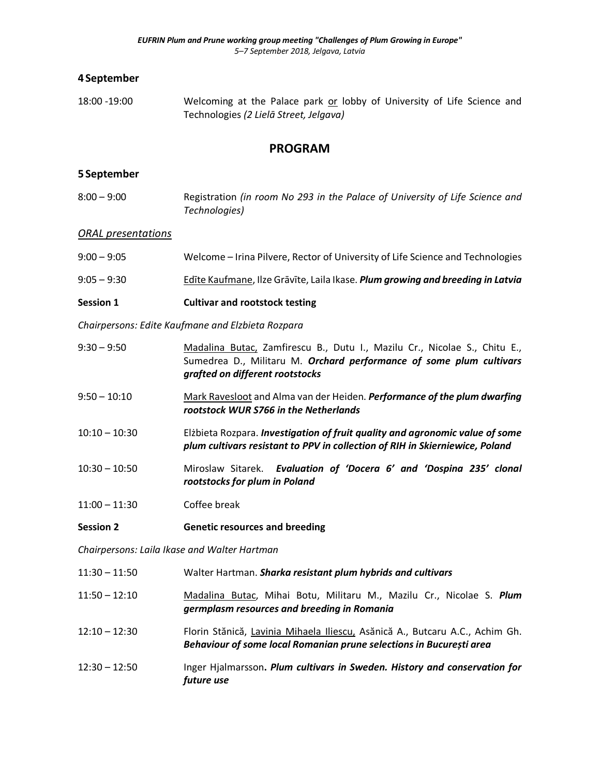# **4 September**

18:00 -19:00 Welcoming at the Palace park or lobby of University of Life Science and Technologies *(2 Lielā Street, Jelgava)*

# **PROGRAM**

# **5 September**

| $8:00-9:00$ | Registration (in room No 293 in the Palace of University of Life Science and |
|-------------|------------------------------------------------------------------------------|
|             | Technologies)                                                                |

#### *ORAL presentations*

| Welcome - Irina Pilvere, Rector of University of Life Science and Technologies<br>$9:00 - 9:05$ |  |
|-------------------------------------------------------------------------------------------------|--|
|-------------------------------------------------------------------------------------------------|--|

9:05 – 9:30 Edīte Kaufmane, Ilze Grāvīte, Laila Ikase. *Plum growing and breeding in Latvia*

## **Session 1 Cultivar and rootstock testing**

*Chairpersons: Edite Kaufmane and Elzbieta Rozpara*

| $9:30 - 9:50$  | Madalina Butac, Zamfirescu B., Dutu I., Mazilu Cr., Nicolae S., Chitu E.,<br>Sumedrea D., Militaru M. Orchard performance of some plum cultivars<br>grafted on different rootstocks |
|----------------|-------------------------------------------------------------------------------------------------------------------------------------------------------------------------------------|
| $0.50 - 10.10$ | Mark Payeclect and Alma van der Heiden, <b>Performance of the num duarfing</b>                                                                                                      |

- 9:50 10:10 Mark Ravesloot and Alma van der Heiden. *Performance of the plum dwarfing rootstock WUR S766 in the Netherlands*
- 10:10 10:30 Elżbieta Rozpara. *Investigation of fruit quality and agronomic value of some plum cultivars resistant to PPV in collection of RIH in Skierniewice, Poland*
- 10:30 10:50 Miroslaw Sitarek. *Evaluation of 'Docera 6' and 'Dospina 235' clonal rootstocks for plum in Poland*
- 11:00 11:30 Coffee break
- **Session 2 Genetic resources and breeding**

*Chairpersons: Laila Ikase and Walter Hartman*

| Walter Hartman. Sharka resistant plum hybrids and cultivars<br>$11:30 - 11:50$ |  |
|--------------------------------------------------------------------------------|--|
|--------------------------------------------------------------------------------|--|

- 11:50 12:10 Madalina Butac, Mihai Botu, Militaru M., Mazilu Cr., Nicolae S. *Plum germplasm resources and breeding in Romania*
- 12:10 12:30 Florin Stănică, Lavinia Mihaela Iliescu, Asănică A., Butcaru A.C., Achim Gh. *Behaviour of some local Romanian prune selections in București area*
- 12:30 12:50 Inger Hjalmarsson**.** *Plum cultivars in Sweden. History and conservation for future use*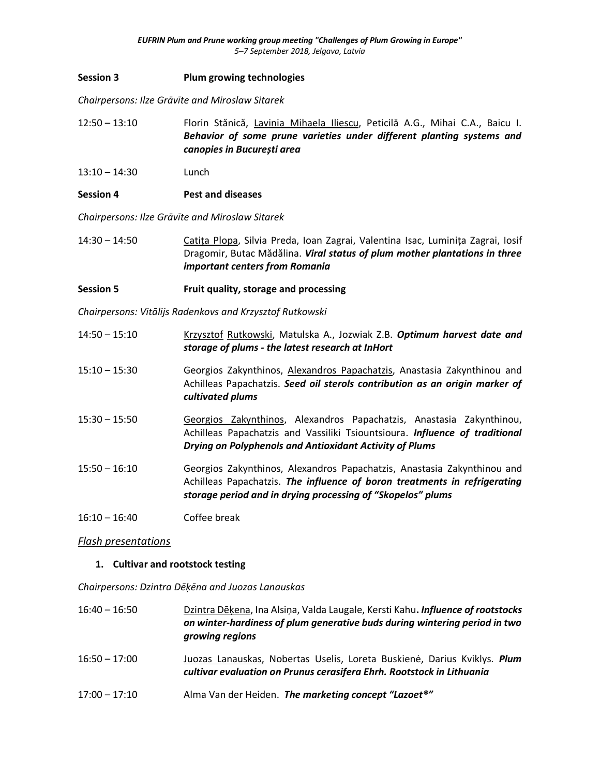## **Session 3 Plum growing technologies**

*Chairpersons: Ilze Grāvīte and Miroslaw Sitarek*

- 12:50 13:10 Florin Stănică, Lavinia Mihaela Iliescu, Peticilă A.G., Mihai C.A., Baicu I. *Behavior of some prune varieties under different planting systems and canopies in București area*
- 13:10 14:30 Lunch
- **Session 4 Pest and diseases**

*Chairpersons: Ilze Grāvīte and Miroslaw Sitarek*

14:30 – 14:50 Catița Plopa, Silvia Preda, Ioan Zagrai, Valentina Isac, Luminița Zagrai, Iosif Dragomir, Butac Mădălina. *Viral status of plum mother plantations in three important centers from Romania*

# **Session 5 Fruit quality, storage and processing**

*Chairpersons: Vitālijs Radenkovs and Krzysztof Rutkowski*

- 14:50 15:10 Krzysztof Rutkowski, Matulska A., Jozwiak Z.B. *Optimum harvest date and storage of plums - the latest research at InHort*
- 15:10 15:30 Georgios Zakynthinos, Alexandros Papachatzis, Anastasia Zakynthinou and Achilleas Papachatzis. *Seed oil sterols contribution as an origin marker of cultivated plums*
- 15:30 15:50 Georgios Zakynthinos, Alexandros Papachatzis, Anastasia Zakynthinou, Achilleas Papachatzis and Vassiliki Tsiountsioura. *Influence of traditional Drying on Polyphenols and Antioxidant Activity of Plums*
- 15:50 16:10 Georgios Zakynthinos, Alexandros Papachatzis, Anastasia Zakynthinou and Achilleas Papachatzis. *The influence of boron treatments in refrigerating storage period and in drying processing of "Skopelos" plums*
- 16:10 16:40 Coffee break

# *Flash presentations*

#### **1. Cultivar and rootstock testing**

*Chairpersons: Dzintra Dēķēna and Juozas Lanauskas*

- 16:40 16:50 Dzintra Dēķena, Ina Alsiņa, Valda Laugale, Kersti Kahu**.** *Influence of rootstocks on winter-hardiness of plum generative buds during wintering period in two growing regions*
- 16:50 17:00 Juozas Lanauskas, Nobertas Uselis, Loreta Buskienė, Darius Kviklys. *Plum cultivar evaluation on Prunus cerasifera Ehrh. Rootstock in Lithuania*
- 17:00 17:10 Alma Van der Heiden. *The marketing concept "Lazoet®"*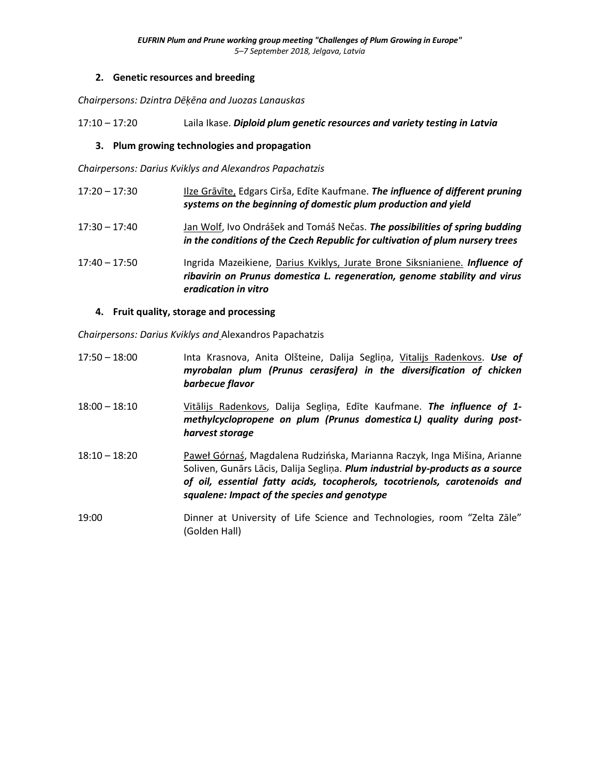# **2. Genetic resources and breeding**

*Chairpersons: Dzintra Dēķēna and Juozas Lanauskas*

17:10 – 17:20 Laila Ikase. *Diploid plum genetic resources and variety testing in Latvia*

## **3. Plum growing technologies and propagation**

*Chairpersons: Darius Kviklys and Alexandros Papachatzis*

- 17:20 17:30 Ilze Grāvīte, Edgars Cirša, Edīte Kaufmane. *The influence of different pruning systems on the beginning of domestic plum production and yield*
- 17:30 17:40 Jan Wolf, Ivo Ondrášek and Tomáš Nečas. *The possibilities of spring budding in the conditions of the Czech Republic for cultivation of plum nursery trees*
- 17:40 17:50 Ingrida Mazeikiene, Darius Kviklys, Jurate Brone Siksnianiene. *Influence of ribavirin on Prunus domestica L. regeneration, genome stability and virus eradication in vitro*

## **4. Fruit quality, storage and processing**

*Chairpersons: Darius Kviklys and* Alexandros Papachatzis

- 17:50 18:00 Inta Krasnova, Anita Olšteine, Dalija Segliņa, Vitalijs Radenkovs. *Use of myrobalan plum (Prunus cerasifera) in the diversification of chicken barbecue flavor*
- 18:00 18:10 Vitālijs Radenkovs, Dalija Segliņa, Edīte Kaufmane. *The influence of 1 methylcyclopropene on plum (Prunus domestica L) quality during postharvest storage*
- 18:10 18:20 Paweł Górnaś, Magdalena Rudzińska, Marianna Raczyk, Inga Mišina, Arianne Soliven, Gunārs Lācis, Dalija Segliņa. *Plum industrial by-products as a source of oil, essential fatty acids, tocopherols, tocotrienols, carotenoids and squalene: Impact of the species and genotype*
- 19:00 Dinner at University of Life Science and Technologies, room "Zelta Zāle" (Golden Hall)